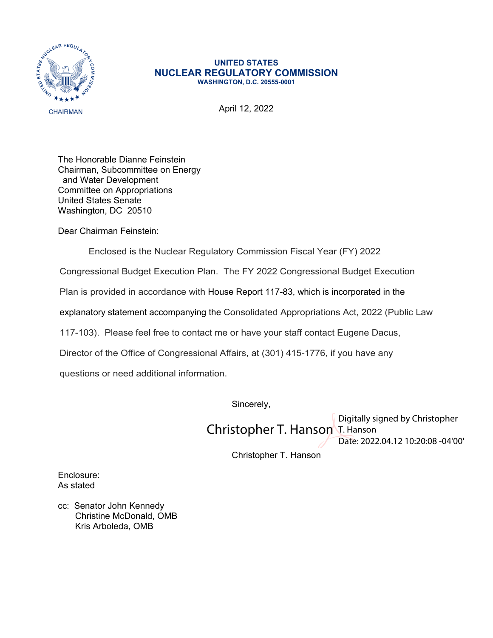

## **UNITED STATES NUCLEAR REGULATORY COMMISSION WASHINGTON, D.C. 20555-0001**

April 12, 2022

The Honorable Dianne Feinstein Chairman, Subcommittee on Energy and Water Development Committee on Appropriations United States Senate Washington, DC 20510

Dear Chairman Feinstein:

Enclosed is the Nuclear Regulatory Commission Fiscal Year (FY) 2022

Congressional Budget Execution Plan. The FY 2022 Congressional Budget Execution

Plan is provided in accordance with House Report 117-83, which is incorporated in the

explanatory statement accompanying the Consolidated Appropriations Act, 2022 (Public Law

117-103). Please feel free to contact me or have your staff contact Eugene Dacus,

Director of the Office of Congressional Affairs, at (301) 415-1776, if you have any

questions or need additional information.

Sincerely,

Christopher T. Hanson T. Hanson Digitally signed by Christopher Date: 2022.04.12 10:20:08 -04'00'

Christopher T. Hanson

Enclosure: As stated

cc: Senator John Kennedy Christine McDonald, OMB Kris Arboleda, OMB